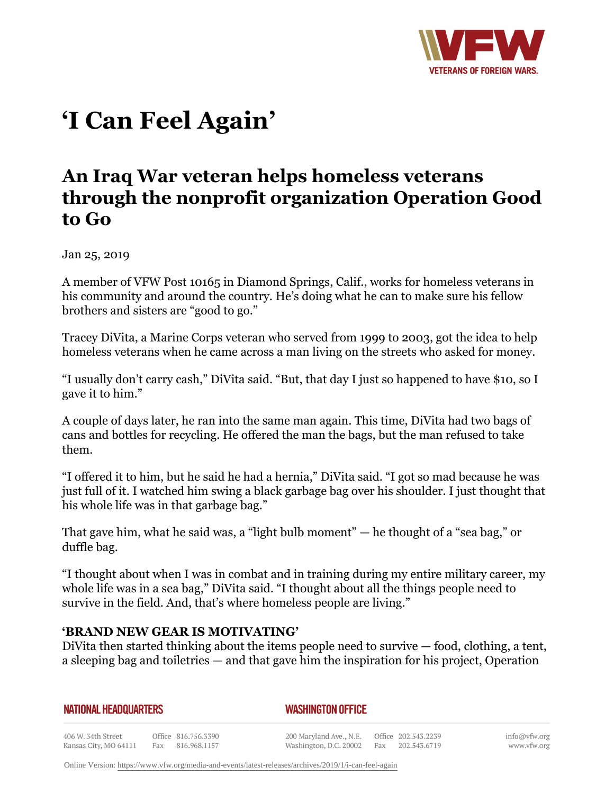

# **'I Can Feel Again'**

## **An Iraq War veteran helps homeless veterans through the nonprofit organization Operation Good to Go**

Jan 25, 2019

A member of VFW Post 10165 in Diamond Springs, Calif., works for homeless veterans in his community and around the country. He's doing what he can to make sure his fellow brothers and sisters are "good to go."

Tracey DiVita, a Marine Corps veteran who served from 1999 to 2003, got the idea to help homeless veterans when he came across a man living on the streets who asked for money.

"I usually don't carry cash," DiVita said. "But, that day I just so happened to have \$10, so I gave it to him."

A couple of days later, he ran into the same man again. This time, DiVita had two bags of cans and bottles for recycling. He offered the man the bags, but the man refused to take them.

"I offered it to him, but he said he had a hernia," DiVita said. "I got so mad because he was just full of it. I watched him swing a black garbage bag over his shoulder. I just thought that his whole life was in that garbage bag."

That gave him, what he said was, a "light bulb moment" — he thought of a "sea bag," or duffle bag.

"I thought about when I was in combat and in training during my entire military career, my whole life was in a sea bag," DiVita said. "I thought about all the things people need to survive in the field. And, that's where homeless people are living."

### **'BRAND NEW GEAR IS MOTIVATING'**

DiVita then started thinking about the items people need to survive — food, clothing, a tent, a sleeping bag and toiletries — and that gave him the inspiration for his project, Operation

| NATIONAL HEADQUARTERS |  |
|-----------------------|--|
|-----------------------|--|

*WASHINGTON OFFICE* 

406 W. 34th Street Office 816.756.3390 Fax 816.968.1157 Kansas City, MO 64111

200 Maryland Ave., N.E. Washington, D.C. 20002

Office 202.543.2239 Fax 202.543.6719

Online Version:<https://www.vfw.org/media-and-events/latest-releases/archives/2019/1/i-can-feel-again>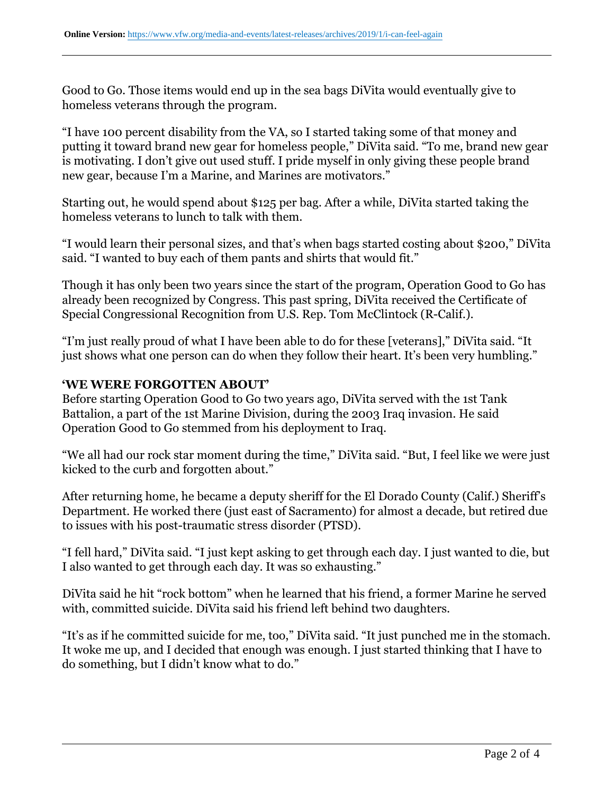Good to Go. Those items would end up in the sea bags DiVita would eventually give to homeless veterans through the program.

"I have 100 percent disability from the VA, so I started taking some of that money and putting it toward brand new gear for homeless people," DiVita said. "To me, brand new gear is motivating. I don't give out used stuff. I pride myself in only giving these people brand new gear, because I'm a Marine, and Marines are motivators."

Starting out, he would spend about \$125 per bag. After a while, DiVita started taking the homeless veterans to lunch to talk with them.

"I would learn their personal sizes, and that's when bags started costing about \$200," DiVita said. "I wanted to buy each of them pants and shirts that would fit."

Though it has only been two years since the start of the program, Operation Good to Go has already been recognized by Congress. This past spring, DiVita received the Certificate of Special Congressional Recognition from U.S. Rep. Tom McClintock (R-Calif.).

"I'm just really proud of what I have been able to do for these [veterans]," DiVita said. "It just shows what one person can do when they follow their heart. It's been very humbling."

### **'WE WERE FORGOTTEN ABOUT'**

Before starting Operation Good to Go two years ago, DiVita served with the 1st Tank Battalion, a part of the 1st Marine Division, during the 2003 Iraq invasion. He said Operation Good to Go stemmed from his deployment to Iraq.

"We all had our rock star moment during the time," DiVita said. "But, I feel like we were just kicked to the curb and forgotten about."

After returning home, he became a deputy sheriff for the El Dorado County (Calif.) Sheriff's Department. He worked there (just east of Sacramento) for almost a decade, but retired due to issues with his post-traumatic stress disorder (PTSD).

"I fell hard," DiVita said. "I just kept asking to get through each day. I just wanted to die, but I also wanted to get through each day. It was so exhausting."

DiVita said he hit "rock bottom" when he learned that his friend, a former Marine he served with, committed suicide. DiVita said his friend left behind two daughters.

"It's as if he committed suicide for me, too," DiVita said. "It just punched me in the stomach. It woke me up, and I decided that enough was enough. I just started thinking that I have to do something, but I didn't know what to do."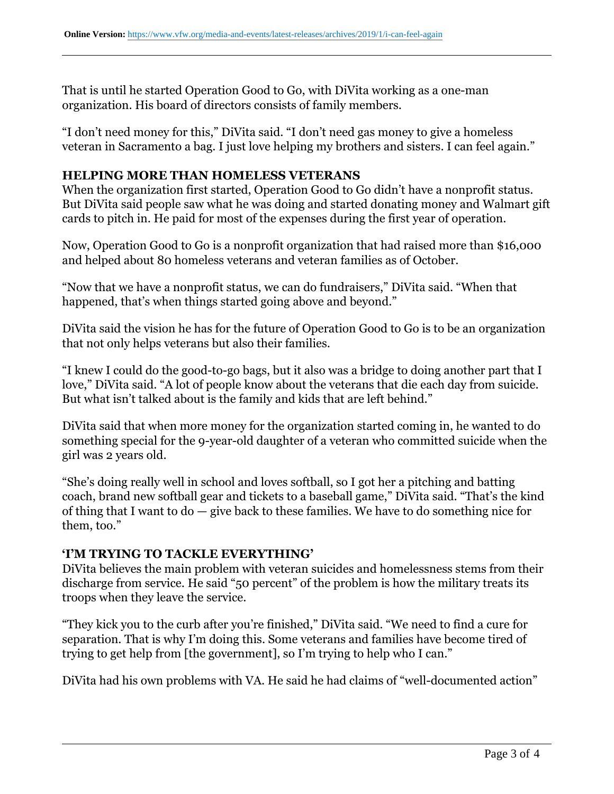That is until he started Operation Good to Go, with DiVita working as a one-man organization. His board of directors consists of family members.

"I don't need money for this," DiVita said. "I don't need gas money to give a homeless veteran in Sacramento a bag. I just love helping my brothers and sisters. I can feel again."

#### **HELPING MORE THAN HOMELESS VETERANS**

When the organization first started, Operation Good to Go didn't have a nonprofit status. But DiVita said people saw what he was doing and started donating money and Walmart gift cards to pitch in. He paid for most of the expenses during the first year of operation.

Now, Operation Good to Go is a nonprofit organization that had raised more than \$16,000 and helped about 80 homeless veterans and veteran families as of October.

"Now that we have a nonprofit status, we can do fundraisers," DiVita said. "When that happened, that's when things started going above and beyond."

DiVita said the vision he has for the future of Operation Good to Go is to be an organization that not only helps veterans but also their families.

"I knew I could do the good-to-go bags, but it also was a bridge to doing another part that I love," DiVita said. "A lot of people know about the veterans that die each day from suicide. But what isn't talked about is the family and kids that are left behind."

DiVita said that when more money for the organization started coming in, he wanted to do something special for the 9-year-old daughter of a veteran who committed suicide when the girl was 2 years old.

"She's doing really well in school and loves softball, so I got her a pitching and batting coach, brand new softball gear and tickets to a baseball game," DiVita said. "That's the kind of thing that I want to do — give back to these families. We have to do something nice for them, too."

### **'I'M TRYING TO TACKLE EVERYTHING'**

DiVita believes the main problem with veteran suicides and homelessness stems from their discharge from service. He said "50 percent" of the problem is how the military treats its troops when they leave the service.

"They kick you to the curb after you're finished," DiVita said. "We need to find a cure for separation. That is why I'm doing this. Some veterans and families have become tired of trying to get help from [the government], so I'm trying to help who I can."

DiVita had his own problems with VA. He said he had claims of "well-documented action"